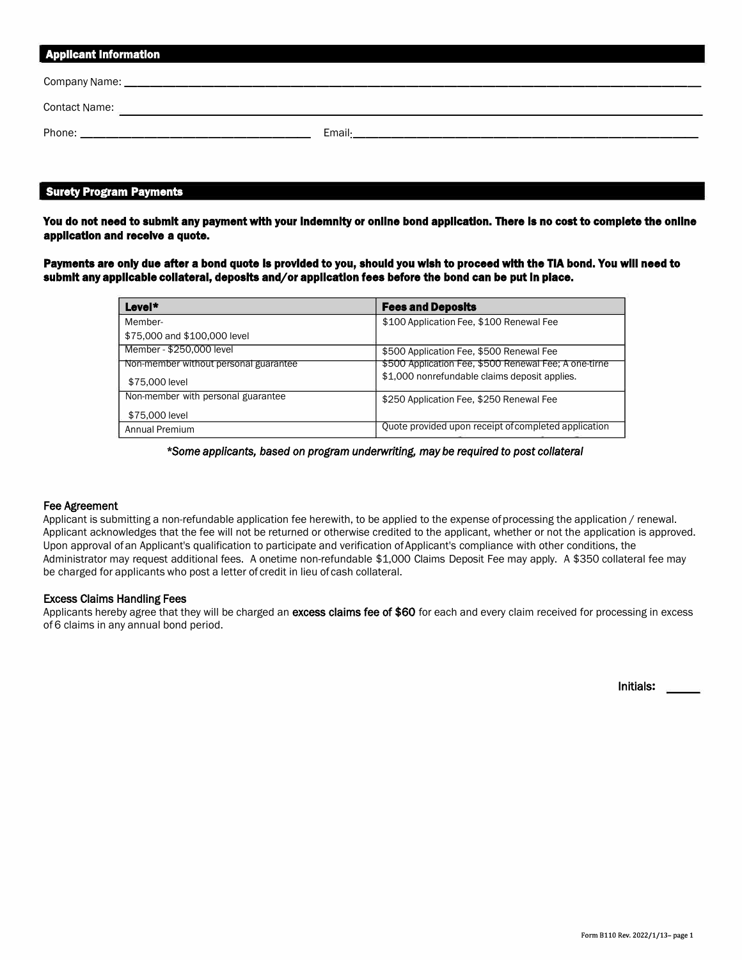| <b>Applicant Information</b> |  |
|------------------------------|--|
|                              |  |
|                              |  |
|                              |  |

### Surety Program Payments

You do not need to submit any payment with your indemnity or online bond application. There is no cost to complete the online application and receive a quote.

Payments are only due after a bond quote is provided to you, should you wish to proceed with the TIA bond. You will need to submit any applicable collateral, deposits and/or application fees before the bond can be put in place.

| Level*                                | <b>Fees and Deposits</b>                              |
|---------------------------------------|-------------------------------------------------------|
| Member-                               | \$100 Application Fee, \$100 Renewal Fee              |
| \$75,000 and \$100,000 level          |                                                       |
| Member - \$250,000 level              | \$500 Application Fee, \$500 Renewal Fee              |
| Non-member without personal guarantee | \$500 Application Fee, \$500 Renewal Fee; A one-tirne |
| \$75,000 level                        | \$1,000 nonrefundable claims deposit applies.         |
| Non-member with personal guarantee    | \$250 Application Fee, \$250 Renewal Fee              |
| \$75,000 level                        |                                                       |
| Annual Premium                        | Quote provided upon receipt of completed application  |

\**Some applicants, based on program underwriting, may be required to post collateral*

### Fee Agreement

Applicant is submitting a non-refundable application fee herewith, to be applied to the expense of processing the application / renewal. Applicant acknowledges that the fee will not be returned or otherwise credited to the applicant, whether or not the application is approved. Upon approval of an Applicant's qualification to participate and verification of Applicant's compliance with other conditions, the Administrator may request additional fees. A onetime non-refundable \$1,000 Claims Deposit Fee may apply. A \$350 collateral fee may be charged for applicants who post a letter of credit in lieu of cash collateral.

### Excess Claims Handling Fees

Applicants hereby agree that they will be charged an excess claims fee of \$60 for each and every claim received for processing in excess of 6 claims in any annual bond period.

Initials**:**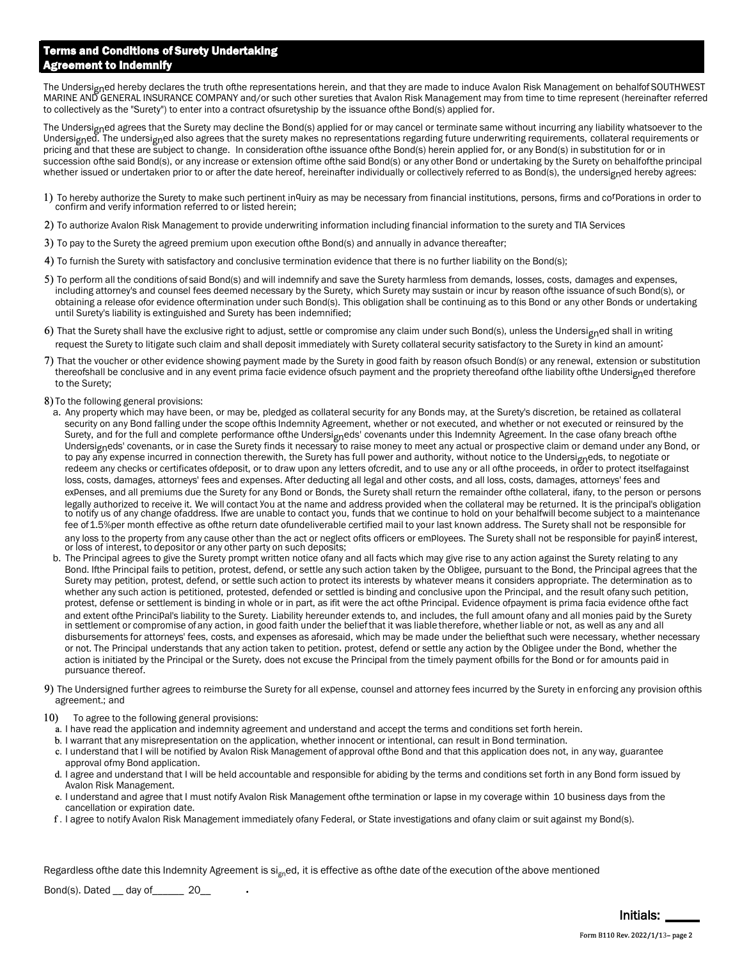# Terms and Conditions of Surety Undertaking Agreement to Indemnify

The Undersigned hereby declares the truth ofthe representations herein, and that they are made to induce Avalon Risk Management on behalfof SOUTHWEST MARINE AND GENERAL INSURANCE COMPANY and/or such other sureties that Avalon Risk Management may from time to time represent (hereinafter referred to collectively as the "Surety") to enter into a contract of suretyship by the issuance of the Bond(s) applied for.

The Undersigned agrees that the Surety may decline the Bond(s) applied for or may cancel or terminate same without incurring any liability whatsoever to the Undersigned. The undersigned also agrees that the surety makes no representations regarding future underwriting requirements, collateral requirements or pricing and that these are subject to change. In consideration of the issuance of the Bond(s) herein applied for, or any Bond(s) in substitution for or in succession of the said Bond(s), or any increase or extension of time of the said Bond(s) or any other Bond or undertaking by the Surety on behalfof the principal whether issued or undertaken prior to or after the date hereof, hereinafter individually or collectively referred to as Bond(s), the undersigned hereby agrees:

- 1) To hereby authorize the Surety to make such pertinent inquiry as may be necessary from financial institutions, persons, firms and co<sup>rp</sup>orations in order to confirm and verify information referred to or listed herein;
- 2) To authorize Avalon Risk Management to provide underwriting information including financial information to the surety and TIA Services
- 3) To pay to the Surety the agreed premium upon execution of the Bond(s) and annually in advance thereafter;
- 4) To furnish the Surety with satisfactory and conclusive termination evidence that there is no further liability on the Bond(s);
- 5) To perform all the conditions of said Bond(s) and will indemnify and save the Surety harmless from demands, losses, costs, damages and expenses, including attorney's and counsel fees deemed necessary by the Surety, which Surety may sustain or incur by reason ofthe issuance of such Bond(s), or obtaining a release ofor evidence oftermination under such Bond(s). This obligation shall be continuing as to this Bond or any other Bonds or undertaking until Surety's liability is extinguished and Surety has been indemnified;
- 6) That the Surety shall have the exclusive right to adjust, settle or compromise any claim under such Bond(s), unless the Undersigned shall in writing request the Surety to litigate such claim and shall deposit immediately with Surety collateral security satisfactory to the Surety in kind an amount;
- 7) That the voucher or other evidence showing payment made by the Surety in good faith by reason of such Bond(s) or any renewal, extension or substitution thereofshall be conclusive and in any event prima facie evidence of such payment and the propriety thereof and of the liability of the Undersigned therefore to the Surety;
- 8) To the following general provisions:
	- a. Any property which may have been, or may be, pledged as collateral security for any Bonds may, at the Surety's discretion, be retained as collateral security on any Bond falling under the scope ofthis Indemnity Agreement, whether or not executed, and whether or not executed or reinsured by the Surety, and for the full and complete performance ofthe Undersigneds' covenants under this Indemnity Agreement. In the case of any breach of the Undersigneds' covenants, or in case the Surety finds it necessary to raise money to meet any actual or prospective claim or demand under any Bond, or to pay any expense incurred in connection therewith, the Surety has full power and authority, without notice to the Undersigneds, to negotiate or redeem any checks or certificates ofdeposit, or to draw upon any letters ofcredit, and to use any or all ofthe proceeds, in order to protect itselfagainst loss, costs, damages, attorneys' fees and expenses. After deducting all legal and other costs, and all loss, costs, damages, attorneys' fees and expenses, and all premiums due the Surety for any Bond or Bonds, the Surety shall return the remainder ofthe collateral, ifany, to the person or persons legally authorized to receive it. We will contact You at the name and address provided when the collateral may be returned. It is the principal's obligation to notify us of any change ofaddress. Ifwe are unable to contact you, funds that we continue to hold on your behalfwill become subject to a maintenance fee of 1.5%per month effective as ofthe return date ofundeliverable certified mail to your last known address. The Surety shall not be responsible for any loss to the property from any cause other than the act or neglect ofits officers or employees. The Surety shall not be responsible for paying interest, or loss of interest, to depositor or any other party on such deposits;
- b. The Principal agrees to give the Surety prompt written notice of any and all facts which may give rise to any action against the Surety relating to any Bond. If the Principal fails to petition, protest, defend, or settle any such action taken by the Obligee, pursuant to the Bond, the Principal agrees that the Surety may petition, protest, defend, or settle such action to protect its interests by whatever means it considers appropriate. The determination as to whether any such action is petitioned, protested, defended or settled is binding and conclusive upon the Principal, and the result of any such petition, protest, defense or settlement is binding in whole or in part, as ifit were the act ofthe Principal. Evidence of payment is prima facia evidence of the fact and extent ofthe Principal's liability to the Surety. Liability hereunder extends to, and includes, the full amount ofany and all monies paid by the Surety in settlement or compromise of any action, in good faith under the belief that it was liable therefore, whether liable or not, as well as any and all disbursements for attorneys' fees, costs, and expenses as aforesaid, which may be made under the beliefthat such were necessary, whether necessary or not. The Principal understands that any action taken to petition, protest, defend or settle any action by the Obligee under the Bond, whether the action is initiated by the Principal or the Surety, does not excuse the Principal from the timely payment ofbills for the Bond or for amounts paid in pursuance thereof.
- 9) The Undersigned further agrees to reimburse the Surety for all expense, counsel and attorney fees incurred by the Surety in enforcing any provision of this agreement.; and
- 10) To agree to the following general provisions:
	- a. I have read the application and indemnity agreement and understand and accept the terms and conditions set forth herein.
	- b. I warrant that any misrepresentation on the application, whether innocent or intentional, can result in Bond termination.
	- c. I understand that I will be notified by Avalon Risk Management of approval of the Bond and that this application does not, in any way, guarantee approval ofmy Bond application.
	- d. I agree and understand that I will be held accountable and responsible for abiding by the terms and conditions set forth in any Bond form issued by Avalon Risk Management.
	- e. I understand and agree that I must notify Avalon Risk Management ofthe termination or lapse in my coverage within 10 business days from the cancellation or expiration date.
	- f. I agree to notify Avalon Risk Management immediately of any Federal, or State investigations and of any claim or suit against my Bond(s).

Regardless of the date this Indemnity Agreement is si<sub>gn</sub>ed, it is effective as of the date of the execution of the above mentioned

Bond(s). Dated \_\_ day of \_\_\_\_\_\_\_ 20\_